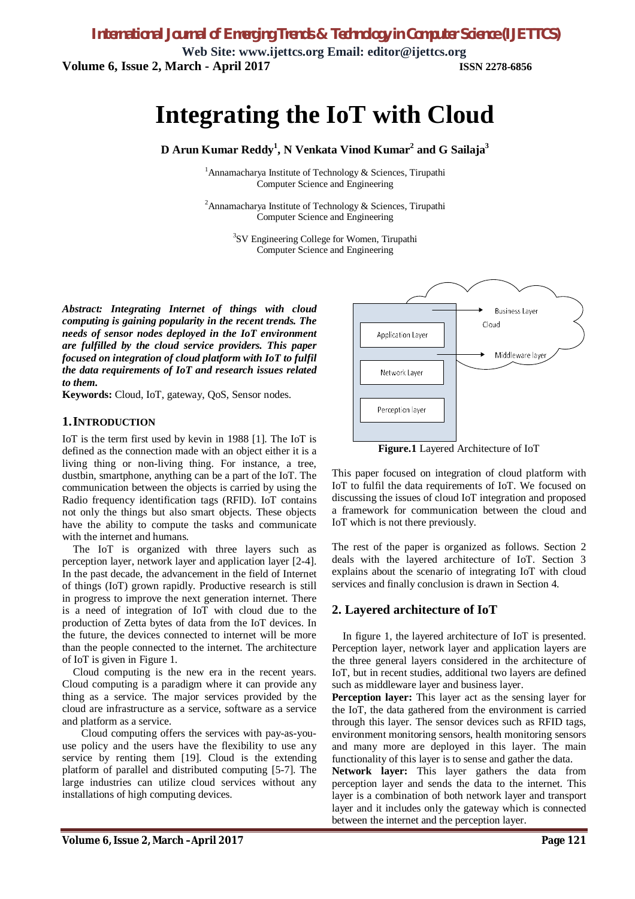*International Journal of Emerging Trends & Technology in Computer Science (IJETTCS)* **Web Site: www.ijettcs.org Email: editor@ijettcs.org Volume 6, Issue 2, March - April 2017 ISSN 2278-6856**

**Integrating the IoT with Cloud**

**D Arun Kumar Reddy<sup>1</sup> , N Venkata Vinod Kumar<sup>2</sup> and G Sailaja<sup>3</sup>**

<sup>1</sup>Annamacharya Institute of Technology  $&$  Sciences, Tirupathi Computer Science and Engineering

<sup>2</sup>Annamacharya Institute of Technology & Sciences, Tirupathi Computer Science and Engineering

> <sup>3</sup>SV Engineering College for Women, Tirupathi Computer Science and Engineering

*Abstract: Integrating Internet of things with cloud computing is gaining popularity in the recent trends. The needs of sensor nodes deployed in the IoT environment are fulfilled by the cloud service providers. This paper focused on integration of cloud platform with IoT to fulfil the data requirements of IoT and research issues related to them.* 

**Keywords:** Cloud, IoT, gateway, QoS, Sensor nodes.

#### **1.INTRODUCTION**

IoT is the term first used by kevin in 1988 [1]. The IoT is defined as the connection made with an object either it is a living thing or non-living thing. For instance, a tree, dustbin, smartphone, anything can be a part of the IoT. The communication between the objects is carried by using the Radio frequency identification tags (RFID). IoT contains not only the things but also smart objects. These objects have the ability to compute the tasks and communicate with the internet and humans.

The IoT is organized with three layers such as perception layer, network layer and application layer [2-4]. In the past decade, the advancement in the field of Internet of things (IoT) grown rapidly. Productive research is still in progress to improve the next generation internet. There is a need of integration of IoT with cloud due to the production of Zetta bytes of data from the IoT devices. In the future, the devices connected to internet will be more than the people connected to the internet. The architecture of IoT is given in Figure 1.

Cloud computing is the new era in the recent years. Cloud computing is a paradigm where it can provide any thing as a service. The major services provided by the cloud are infrastructure as a service, software as a service and platform as a service.

Cloud computing offers the services with pay-as-youuse policy and the users have the flexibility to use any service by renting them [19]. Cloud is the extending platform of parallel and distributed computing [5-7]. The large industries can utilize cloud services without any installations of high computing devices.



**Figure.1** Layered Architecture of IoT

This paper focused on integration of cloud platform with IoT to fulfil the data requirements of IoT. We focused on discussing the issues of cloud IoT integration and proposed a framework for communication between the cloud and IoT which is not there previously.

The rest of the paper is organized as follows. Section 2 deals with the layered architecture of IoT. Section 3 explains about the scenario of integrating IoT with cloud services and finally conclusion is drawn in Section 4.

### **2. Layered architecture of IoT**

In figure 1, the layered architecture of IoT is presented. Perception layer, network layer and application layers are the three general layers considered in the architecture of IoT, but in recent studies, additional two layers are defined such as middleware layer and business layer.

**Perception layer:** This layer act as the sensing layer for the IoT, the data gathered from the environment is carried through this layer. The sensor devices such as RFID tags, environment monitoring sensors, health monitoring sensors and many more are deployed in this layer. The main functionality of this layer is to sense and gather the data.

**Network layer:** This layer gathers the data from perception layer and sends the data to the internet. This layer is a combination of both network layer and transport layer and it includes only the gateway which is connected between the internet and the perception layer.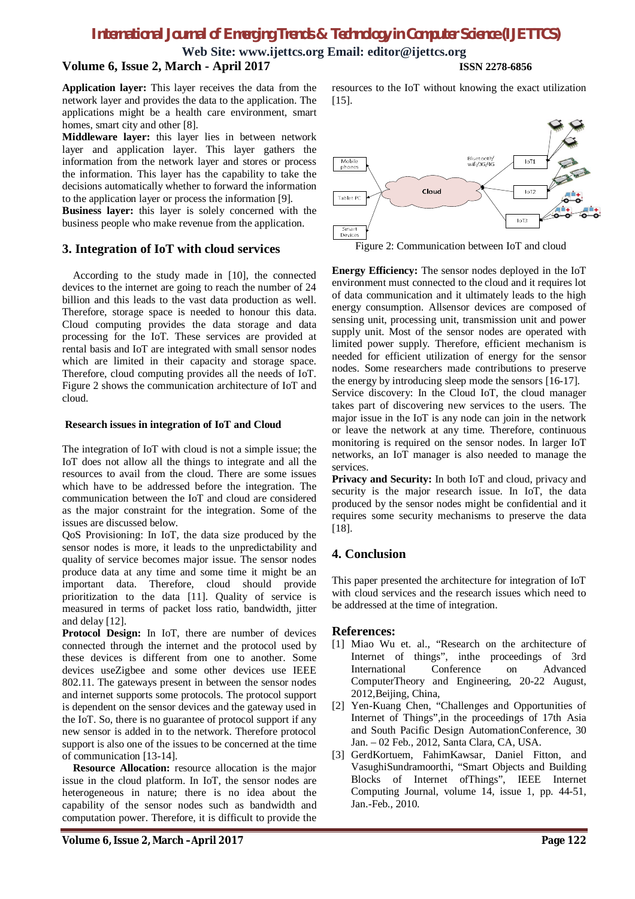# *International Journal of Emerging Trends & Technology in Computer Science (IJETTCS)*

**Web Site: www.ijettcs.org Email: editor@ijettcs.org**

## **Volume 6, Issue 2, March - April 2017 ISSN 2278-6856**

**Application layer:** This layer receives the data from the network layer and provides the data to the application. The applications might be a health care environment, smart homes, smart city and other [8].

**Middleware layer:** this layer lies in between network layer and application layer. This layer gathers the information from the network layer and stores or process the information. This layer has the capability to take the decisions automatically whether to forward the information to the application layer or process the information [9].

**Business layer:** this layer is solely concerned with the business people who make revenue from the application.

## **3. Integration of IoT with cloud services**

According to the study made in [10], the connected devices to the internet are going to reach the number of 24 billion and this leads to the vast data production as well. Therefore, storage space is needed to honour this data. Cloud computing provides the data storage and data processing for the IoT. These services are provided at rental basis and IoT are integrated with small sensor nodes which are limited in their capacity and storage space. Therefore, cloud computing provides all the needs of IoT. Figure 2 shows the communication architecture of IoT and cloud.

#### **Research issues in integration of IoT and Cloud**

The integration of IoT with cloud is not a simple issue; the IoT does not allow all the things to integrate and all the resources to avail from the cloud. There are some issues which have to be addressed before the integration. The communication between the IoT and cloud are considered as the major constraint for the integration. Some of the issues are discussed below.

QoS Provisioning: In IoT, the data size produced by the sensor nodes is more, it leads to the unpredictability and quality of service becomes major issue. The sensor nodes produce data at any time and some time it might be an important data. Therefore, cloud should provide prioritization to the data [11]. Quality of service is measured in terms of packet loss ratio, bandwidth, jitter and delay [12].

**Protocol Design:** In IoT, there are number of devices connected through the internet and the protocol used by these devices is different from one to another. Some devices useZigbee and some other devices use IEEE 802.11. The gateways present in between the sensor nodes and internet supports some protocols. The protocol support is dependent on the sensor devices and the gateway used in the IoT. So, there is no guarantee of protocol support if any new sensor is added in to the network. Therefore protocol support is also one of the issues to be concerned at the time of communication [13-14].

**Resource Allocation:** resource allocation is the major issue in the cloud platform. In IoT, the sensor nodes are heterogeneous in nature; there is no idea about the capability of the sensor nodes such as bandwidth and computation power. Therefore, it is difficult to provide the

resources to the IoT without knowing the exact utilization [15].



Figure 2: Communication between IoT and cloud

**Energy Efficiency:** The sensor nodes deployed in the IoT environment must connected to the cloud and it requires lot of data communication and it ultimately leads to the high energy consumption. Allsensor devices are composed of sensing unit, processing unit, transmission unit and power supply unit. Most of the sensor nodes are operated with limited power supply. Therefore, efficient mechanism is needed for efficient utilization of energy for the sensor nodes. Some researchers made contributions to preserve the energy by introducing sleep mode the sensors [16-17].

Service discovery: In the Cloud IoT, the cloud manager takes part of discovering new services to the users. The major issue in the IoT is any node can join in the network or leave the network at any time. Therefore, continuous monitoring is required on the sensor nodes. In larger IoT networks, an IoT manager is also needed to manage the services.

**Privacy and Security:** In both IoT and cloud, privacy and security is the major research issue. In IoT, the data produced by the sensor nodes might be confidential and it requires some security mechanisms to preserve the data [18].

## **4. Conclusion**

This paper presented the architecture for integration of IoT with cloud services and the research issues which need to be addressed at the time of integration.

## **References:**

- [1] Miao Wu et. al., "Research on the architecture of Internet of things", inthe proceedings of 3rd International Conference on Advanced ComputerTheory and Engineering, 20-22 August, 2012,Beijing, China,
- [2] Yen-Kuang Chen, "Challenges and Opportunities of Internet of Things",in the proceedings of 17th Asia and South Pacific Design AutomationConference, 30 Jan. – 02 Feb., 2012, Santa Clara, CA, USA.
- [3] GerdKortuem, FahimKawsar, Daniel Fitton, and VasughiSundramoorthi, "Smart Objects and Building Blocks of Internet ofThings", IEEE Internet Computing Journal, volume 14, issue 1, pp. 44-51, Jan.-Feb., 2010.